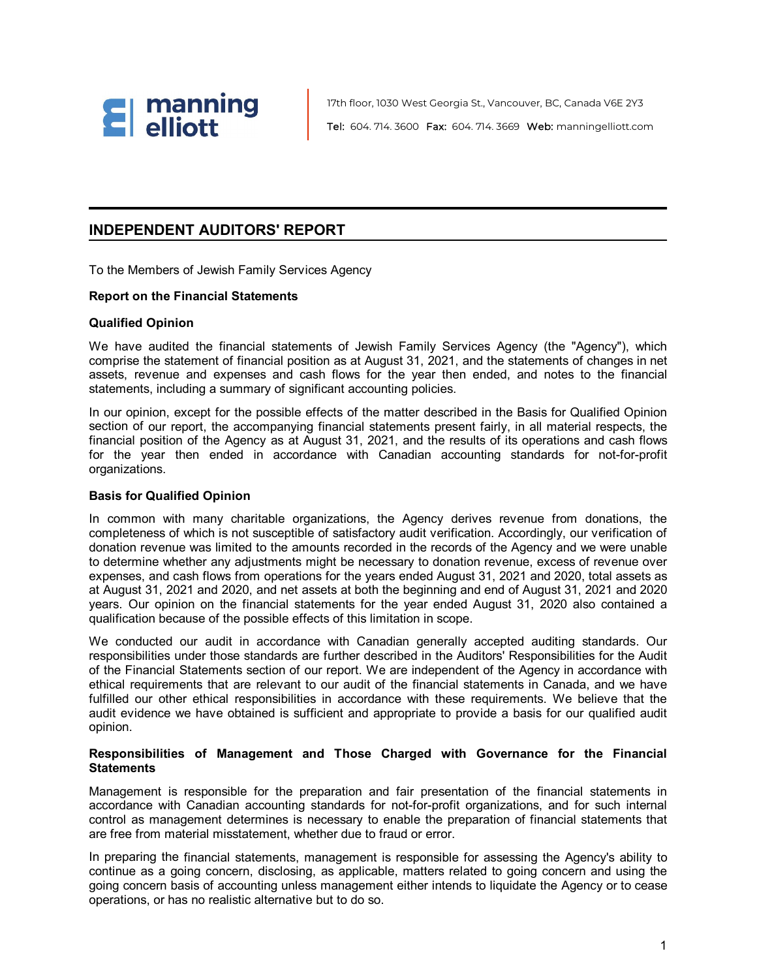

17th floor, 1030 West Georgia St., Vancouver, BC, Canada V6E 2Y3 Tel: 604. 714. 3600 Fax: 604. 714. 3669 Web: manningelliott.com

### **INDEPENDENT AUDITORS' REPORT**

To the Members of Jewish Family Services Agency

#### **Report on the Financial Statements**

#### **Qualified Opinion**

We have audited the financial statements of Jewish Family Services Agency (the "Agency"), which comprise the statement of financial position as at August 31, 2021, and the statements of changes in net assets, revenue and expenses and cash flows for the year then ended, and notes to the financial statements, including a summary of significant accounting policies.

In our opinion, except for the possible effects of the matter described in the Basis for Qualified Opinion section of our report, the accompanying financial statements present fairly, in all material respects, the financial position of the Agency as at August 31, 2021, and the results of its operations and cash flows for the year then ended in accordance with Canadian accounting standards for not-for-profit organizations.

#### **Basis for Qualified Opinion**

In common with many charitable organizations, the Agency derives revenue from donations, the completeness of which is not susceptible of satisfactory audit verification. Accordingly, our verification of donation revenue was limited to the amounts recorded in the records of the Agency and we were unable to determine whether any adjustments might be necessary to donation revenue, excess of revenue over expenses, and cash flows from operations for the years ended August 31, 2021 and 2020, total assets as at August 31, 2021 and 2020, and net assets at both the beginning and end of August 31, 2021 and 2020 years. Our opinion on the financial statements for the year ended August 31, 2020 also contained a qualification because of the possible effects of this limitation in scope.

We conducted our audit in accordance with Canadian generally accepted auditing standards. Our responsibilities under those standards are further described in the Auditors' Responsibilities for the Audit of the Financial Statements section of our report. We are independent of the Agency in accordance with ethical requirements that are relevant to our audit of the financial statements in Canada, and we have fulfilled our other ethical responsibilities in accordance with these requirements. We believe that the audit evidence we have obtained is sufficient and appropriate to provide a basis for our qualified audit opinion.

#### **Responsibilities of Management and Those Charged with Governance for the Financial Statements**

Management is responsible for the preparation and fair presentation of the financial statements in accordance with Canadian accounting standards for not-for-profit organizations, and for such internal control as management determines is necessary to enable the preparation of financial statements that are free from material misstatement, whether due to fraud or error.

In preparing the financial statements, management is responsible for assessing the Agency's ability to continue as a going concern, disclosing, as applicable, matters related to going concern and using the going concern basis of accounting unless management either intends to liquidate the Agency or to cease operations, or has no realistic alternative but to do so.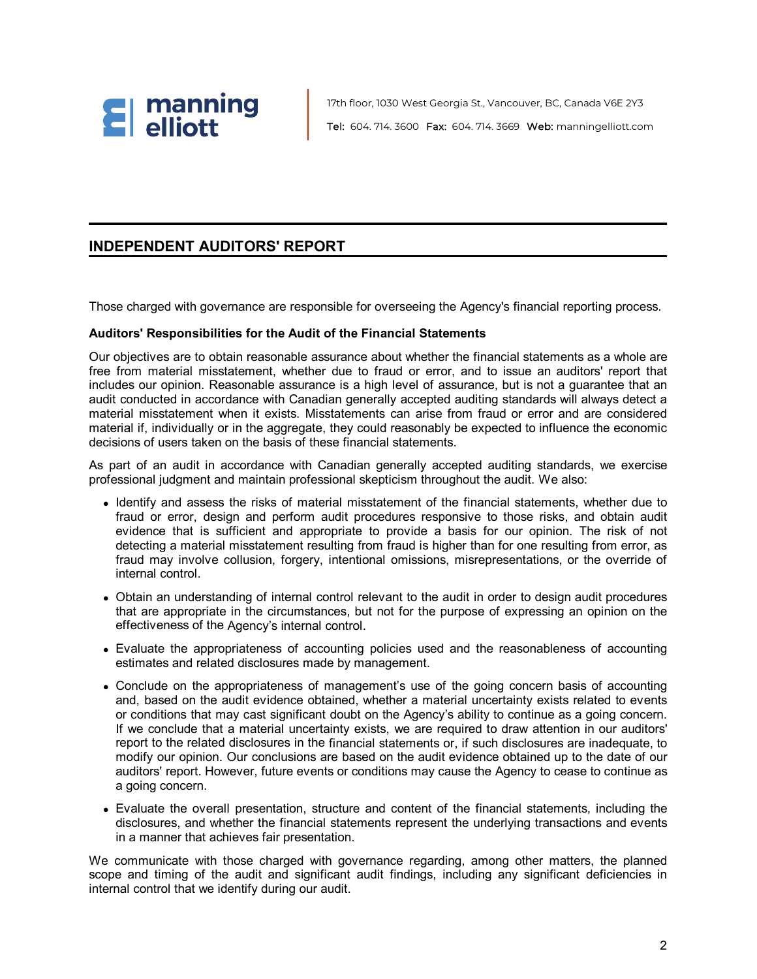

17th floor, 1030 West Georgia St., Vancouver, BC, Canada V6E 2Y3 Tel: 604. 714. 3600 Fax: 604. 714. 3669 Web: manningelliott.com

### **INDEPENDENT AUDITORS' REPORT**

Those charged with governance are responsible for overseeing the Agency's financial reporting process.

#### **Auditors' Responsibilities for the Audit of the Financial Statements**

Our objectives are to obtain reasonable assurance about whether the financial statements as a whole are free from material misstatement, whether due to fraud or error, and to issue an auditors' report that includes our opinion. Reasonable assurance is a high level of assurance, but is not a guarantee that an audit conducted in accordance with Canadian generally accepted auditing standards will always detect a material misstatement when it exists. Misstatements can arise from fraud or error and are considered material if, individually or in the aggregate, they could reasonably be expected to influence the economic decisions of users taken on the basis of these financial statements.

As part of an audit in accordance with Canadian generally accepted auditing standards, we exercise professional judgment and maintain professional skepticism throughout the audit. We also:

- Identify and assess the risks of material misstatement of the financial statements, whether due to fraud or error, design and perform audit procedures responsive to those risks, and obtain audit evidence that is sufficient and appropriate to provide a basis for our opinion. The risk of not detecting a material misstatement resulting from fraud is higher than for one resulting from error, as fraud may involve collusion, forgery, intentional omissions, misrepresentations, or the override of internal control.
- Obtain an understanding of internal control relevant to the audit in order to design audit procedures that are appropriate in the circumstances, but not for the purpose of expressing an opinion on the effectiveness of the Agency's internal control.
- Evaluate the appropriateness of accounting policies used and the reasonableness of accounting estimates and related disclosures made by management.
- Conclude on the appropriateness of management's use of the going concern basis of accounting and, based on the audit evidence obtained, whether a material uncertainty exists related to events or conditions that may cast significant doubt on the Agency's ability to continue as a going concern. If we conclude that a material uncertainty exists, we are required to draw attention in our auditors' report to the related disclosures in the financial statements or, if such disclosures are inadequate, to modify our opinion. Our conclusions are based on the audit evidence obtained up to the date of our auditors' report. However, future events or conditions may cause the Agency to cease to continue as a going concern.
- Evaluate the overall presentation, structure and content of the financial statements, including the disclosures, and whether the financial statements represent the underlying transactions and events in a manner that achieves fair presentation.

We communicate with those charged with governance regarding, among other matters, the planned scope and timing of the audit and significant audit findings, including any significant deficiencies in internal control that we identify during our audit.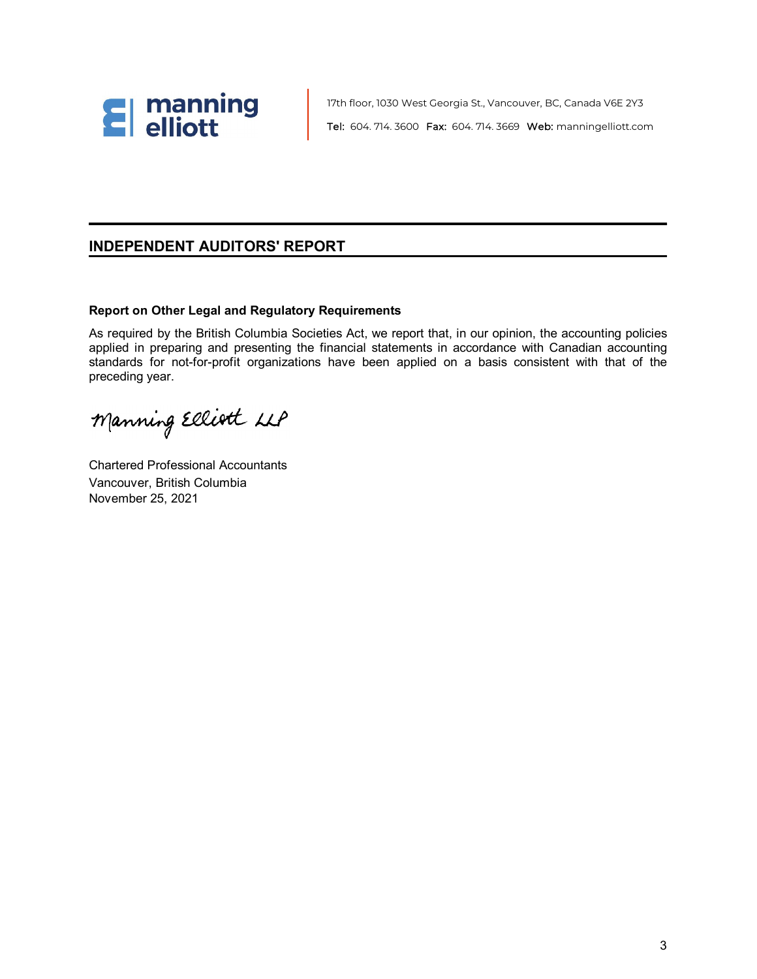

17th floor, 1030 West Georgia St., Vancouver, BC, Canada V6E 2Y3 Tel: 604. 714. 3600 Fax: 604. 714. 3669 Web: manningelliott.com

### **INDEPENDENT AUDITORS' REPORT**

#### **Report on Other Legal and Regulatory Requirements**

As required by the British Columbia Societies Act, we report that, in our opinion, the accounting policies applied in preparing and presenting the financial statements in accordance with Canadian accounting standards for not-for-profit organizations have been applied on a basis consistent with that of the preceding year.

Manning Elliott LLP

Chartered Professional Accountants Vancouver, British Columbia November 25, 2021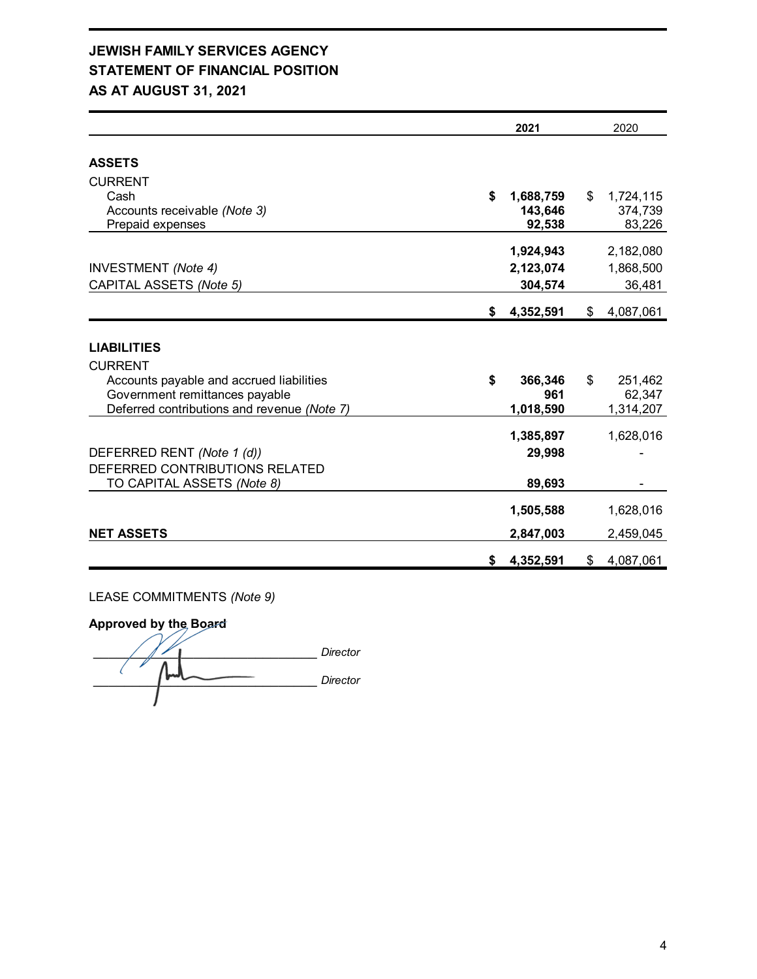### **JEWISH FAMILY SERVICES AGENCY STATEMENT OF FINANCIAL POSITION AS AT AUGUST 31, 2021**

|                                             | 2021            | 2020            |
|---------------------------------------------|-----------------|-----------------|
| <b>ASSETS</b>                               |                 |                 |
| <b>CURRENT</b>                              |                 |                 |
| Cash                                        | \$<br>1,688,759 | \$<br>1,724,115 |
| Accounts receivable (Note 3)                | 143,646         | 374,739         |
| Prepaid expenses                            | 92,538          | 83,226          |
|                                             |                 |                 |
|                                             | 1,924,943       | 2,182,080       |
| <b>INVESTMENT</b> (Note 4)                  | 2,123,074       | 1,868,500       |
| CAPITAL ASSETS (Note 5)                     | 304,574         | 36,481          |
|                                             |                 |                 |
|                                             | \$<br>4,352,591 | \$<br>4,087,061 |
|                                             |                 |                 |
| <b>LIABILITIES</b>                          |                 |                 |
| <b>CURRENT</b>                              |                 |                 |
| Accounts payable and accrued liabilities    | \$<br>366,346   | \$<br>251,462   |
| Government remittances payable              | 961             | 62,347          |
| Deferred contributions and revenue (Note 7) | 1,018,590       | 1,314,207       |
|                                             |                 |                 |
|                                             | 1,385,897       | 1,628,016       |
| DEFERRED RENT (Note 1 (d))                  | 29,998          |                 |
| DEFERRED CONTRIBUTIONS RELATED              |                 |                 |
| TO CAPITAL ASSETS (Note 8)                  | 89,693          |                 |
|                                             |                 |                 |
|                                             | 1,505,588       | 1,628,016       |
|                                             |                 |                 |
| <b>NET ASSETS</b>                           | 2,847,003       | 2,459,045       |
|                                             | \$<br>4,352,591 | \$<br>4,087,061 |

### LEASE COMMITMENTS *(Note 9)*

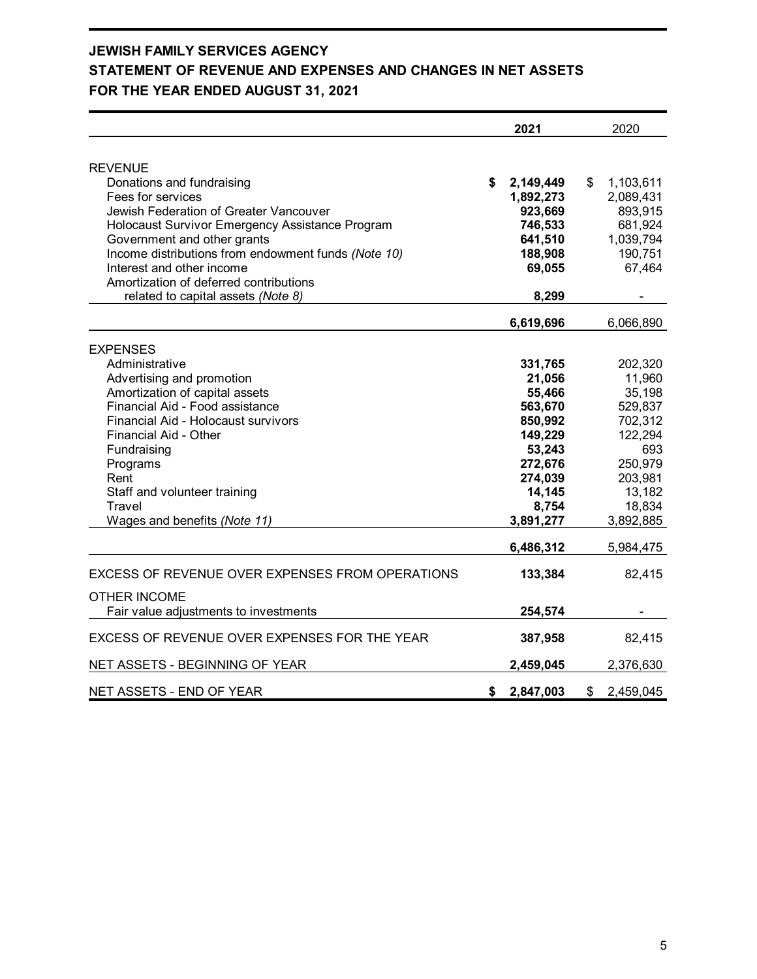# **JEWISH FAMILY SERVICES AGENCY STATEMENT OF REVENUE AND EXPENSES AND CHANGES IN NET ASSETS FOR THE YEAR ENDED AUGUST 31, 2021**

|                                                                                                                                                                                                                                                                                                                  | 2021                                                                                                                         | 2020                                                                                                                       |
|------------------------------------------------------------------------------------------------------------------------------------------------------------------------------------------------------------------------------------------------------------------------------------------------------------------|------------------------------------------------------------------------------------------------------------------------------|----------------------------------------------------------------------------------------------------------------------------|
| <b>REVENUE</b><br>Donations and fundraising<br>Fees for services<br>Jewish Federation of Greater Vancouver<br>Holocaust Survivor Emergency Assistance Program<br>Government and other grants<br>Income distributions from endowment funds (Note 10)                                                              | \$<br>2,149,449<br>1,892,273<br>923,669<br>746,533<br>641,510<br>188,908                                                     | \$<br>1,103,611<br>2,089,431<br>893,915<br>681,924<br>1,039,794<br>190,751                                                 |
| Interest and other income<br>Amortization of deferred contributions<br>related to capital assets (Note 8)                                                                                                                                                                                                        | 69,055<br>8,299                                                                                                              | 67,464                                                                                                                     |
|                                                                                                                                                                                                                                                                                                                  | 6,619,696                                                                                                                    | 6,066,890                                                                                                                  |
| <b>EXPENSES</b><br>Administrative<br>Advertising and promotion<br>Amortization of capital assets<br>Financial Aid - Food assistance<br>Financial Aid - Holocaust survivors<br>Financial Aid - Other<br>Fundraising<br>Programs<br>Rent<br>Staff and volunteer training<br>Travel<br>Wages and benefits (Note 11) | 331,765<br>21,056<br>55,466<br>563,670<br>850,992<br>149,229<br>53,243<br>272,676<br>274,039<br>14,145<br>8,754<br>3,891,277 | 202,320<br>11,960<br>35,198<br>529,837<br>702,312<br>122,294<br>693<br>250,979<br>203,981<br>13,182<br>18,834<br>3,892,885 |
|                                                                                                                                                                                                                                                                                                                  | 6,486,312                                                                                                                    | 5,984,475                                                                                                                  |
| <b>EXCESS OF REVENUE OVER EXPENSES FROM OPERATIONS</b>                                                                                                                                                                                                                                                           | 133,384                                                                                                                      | 82,415                                                                                                                     |
| <b>OTHER INCOME</b><br>Fair value adjustments to investments                                                                                                                                                                                                                                                     | 254,574                                                                                                                      |                                                                                                                            |
| EXCESS OF REVENUE OVER EXPENSES FOR THE YEAR                                                                                                                                                                                                                                                                     | 387,958                                                                                                                      | 82,415                                                                                                                     |
| NET ASSETS - BEGINNING OF YEAR                                                                                                                                                                                                                                                                                   | 2,459,045                                                                                                                    | 2,376,630                                                                                                                  |
| NET ASSETS - END OF YEAR                                                                                                                                                                                                                                                                                         | \$<br>2,847,003                                                                                                              | \$<br>2,459,045                                                                                                            |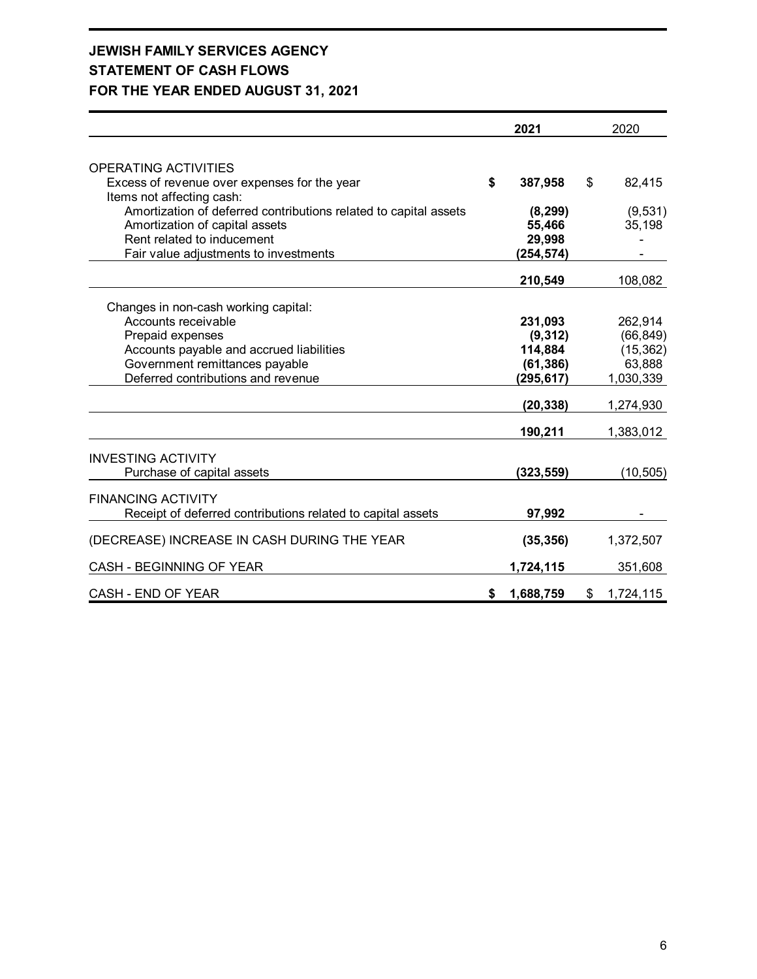# **JEWISH FAMILY SERVICES AGENCY STATEMENT OF CASH FLOWS FOR THE YEAR ENDED AUGUST 31, 2021**

|                                                                  | 2021            | 2020            |
|------------------------------------------------------------------|-----------------|-----------------|
|                                                                  |                 |                 |
| <b>OPERATING ACTIVITIES</b>                                      |                 |                 |
| Excess of revenue over expenses for the year                     | \$<br>387,958   | \$<br>82,415    |
| Items not affecting cash:                                        |                 |                 |
| Amortization of deferred contributions related to capital assets | (8, 299)        | (9,531)         |
| Amortization of capital assets                                   | 55,466          | 35,198          |
| Rent related to inducement                                       | 29,998          |                 |
| Fair value adjustments to investments                            | (254, 574)      |                 |
|                                                                  | 210,549         | 108,082         |
|                                                                  |                 |                 |
| Changes in non-cash working capital:                             |                 |                 |
| Accounts receivable                                              | 231,093         | 262,914         |
| Prepaid expenses                                                 | (9, 312)        | (66, 849)       |
| Accounts payable and accrued liabilities                         | 114,884         | (15, 362)       |
| Government remittances payable                                   | (61, 386)       | 63,888          |
| Deferred contributions and revenue                               | (295, 617)      | 1,030,339       |
|                                                                  | (20, 338)       | 1,274,930       |
|                                                                  | 190,211         | 1,383,012       |
| <b>INVESTING ACTIVITY</b>                                        |                 |                 |
| Purchase of capital assets                                       | (323, 559)      | (10, 505)       |
|                                                                  |                 |                 |
| <b>FINANCING ACTIVITY</b>                                        |                 |                 |
| Receipt of deferred contributions related to capital assets      | 97,992          |                 |
| (DECREASE) INCREASE IN CASH DURING THE YEAR                      | (35, 356)       | 1,372,507       |
|                                                                  |                 |                 |
| CASH - BEGINNING OF YEAR                                         | 1,724,115       | 351,608         |
| CASH - END OF YEAR                                               | \$<br>1,688,759 | \$<br>1,724,115 |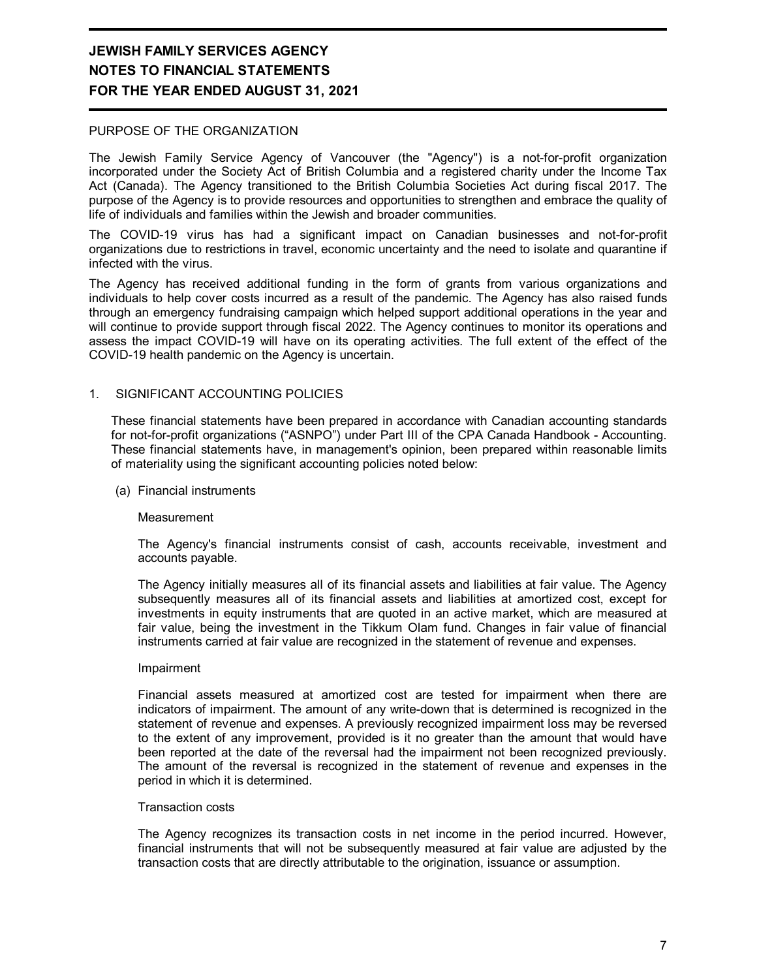#### PURPOSE OF THE ORGANIZATION

The Jewish Family Service Agency of Vancouver (the "Agency") is a not-for-profit organization incorporated under the Society Act of British Columbia and a registered charity under the Income Tax Act (Canada). The Agency transitioned to the British Columbia Societies Act during fiscal 2017. The purpose of the Agency is to provide resources and opportunities to strengthen and embrace the quality of life of individuals and families within the Jewish and broader communities.

The COVID-19 virus has had a significant impact on Canadian businesses and not-for-profit organizations due to restrictions in travel, economic uncertainty and the need to isolate and quarantine if infected with the virus.

The Agency has received additional funding in the form of grants from various organizations and individuals to help cover costs incurred as a result of the pandemic. The Agency has also raised funds through an emergency fundraising campaign which helped support additional operations in the year and will continue to provide support through fiscal 2022. The Agency continues to monitor its operations and assess the impact COVID-19 will have on its operating activities. The full extent of the effect of the COVID-19 health pandemic on the Agency is uncertain.

#### 1. SIGNIFICANT ACCOUNTING POLICIES

These financial statements have been prepared in accordance with Canadian accounting standards for not-for-profit organizations ("ASNPO") under Part III of the CPA Canada Handbook - Accounting. These financial statements have, in management's opinion, been prepared within reasonable limits of materiality using the significant accounting policies noted below:

(a) Financial instruments

#### **Measurement**

The Agency's financial instruments consist of cash, accounts receivable, investment and accounts payable.

The Agency initially measures all of its financial assets and liabilities at fair value. The Agency subsequently measures all of its financial assets and liabilities at amortized cost, except for investments in equity instruments that are quoted in an active market, which are measured at fair value, being the investment in the Tikkum Olam fund. Changes in fair value of financial instruments carried at fair value are recognized in the statement of revenue and expenses.

#### Impairment

Financial assets measured at amortized cost are tested for impairment when there are indicators of impairment. The amount of any write-down that is determined is recognized in the statement of revenue and expenses. A previously recognized impairment loss may be reversed to the extent of any improvement, provided is it no greater than the amount that would have been reported at the date of the reversal had the impairment not been recognized previously. The amount of the reversal is recognized in the statement of revenue and expenses in the period in which it is determined.

#### Transaction costs

The Agency recognizes its transaction costs in net income in the period incurred. However, financial instruments that will not be subsequently measured at fair value are adjusted by the transaction costs that are directly attributable to the origination, issuance or assumption.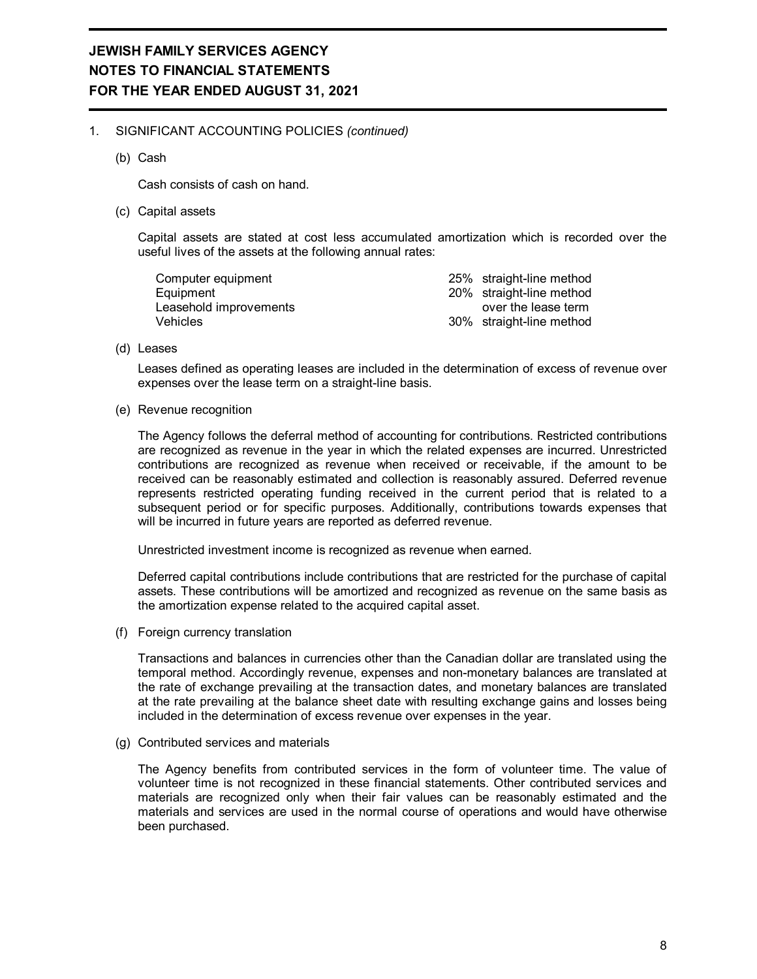#### 1. SIGNIFICANT ACCOUNTING POLICIES *(continued)*

(b) Cash

Cash consists of cash on hand.

(c) Capital assets

Capital assets are stated at cost less accumulated amortization which is recorded over the useful lives of the assets at the following annual rates:

| Computer equipment     | 25% straight-line method |
|------------------------|--------------------------|
| Equipment              | 20% straight-line method |
| Leasehold improvements | over the lease term      |
| Vehicles               | 30% straight-line method |

(d) Leases

Leases defined as operating leases are included in the determination of excess of revenue over expenses over the lease term on a straight-line basis.

(e) Revenue recognition

The Agency follows the deferral method of accounting for contributions. Restricted contributions are recognized as revenue in the year in which the related expenses are incurred. Unrestricted contributions are recognized as revenue when received or receivable, if the amount to be received can be reasonably estimated and collection is reasonably assured. Deferred revenue represents restricted operating funding received in the current period that is related to a subsequent period or for specific purposes. Additionally, contributions towards expenses that will be incurred in future years are reported as deferred revenue.

Unrestricted investment income is recognized as revenue when earned.

Deferred capital contributions include contributions that are restricted for the purchase of capital assets. These contributions will be amortized and recognized as revenue on the same basis as the amortization expense related to the acquired capital asset.

(f) Foreign currency translation

Transactions and balances in currencies other than the Canadian dollar are translated using the temporal method. Accordingly revenue, expenses and non-monetary balances are translated at the rate of exchange prevailing at the transaction dates, and monetary balances are translated at the rate prevailing at the balance sheet date with resulting exchange gains and losses being included in the determination of excess revenue over expenses in the year.

(g) Contributed services and materials

The Agency benefits from contributed services in the form of volunteer time. The value of volunteer time is not recognized in these financial statements. Other contributed services and materials are recognized only when their fair values can be reasonably estimated and the materials and services are used in the normal course of operations and would have otherwise been purchased.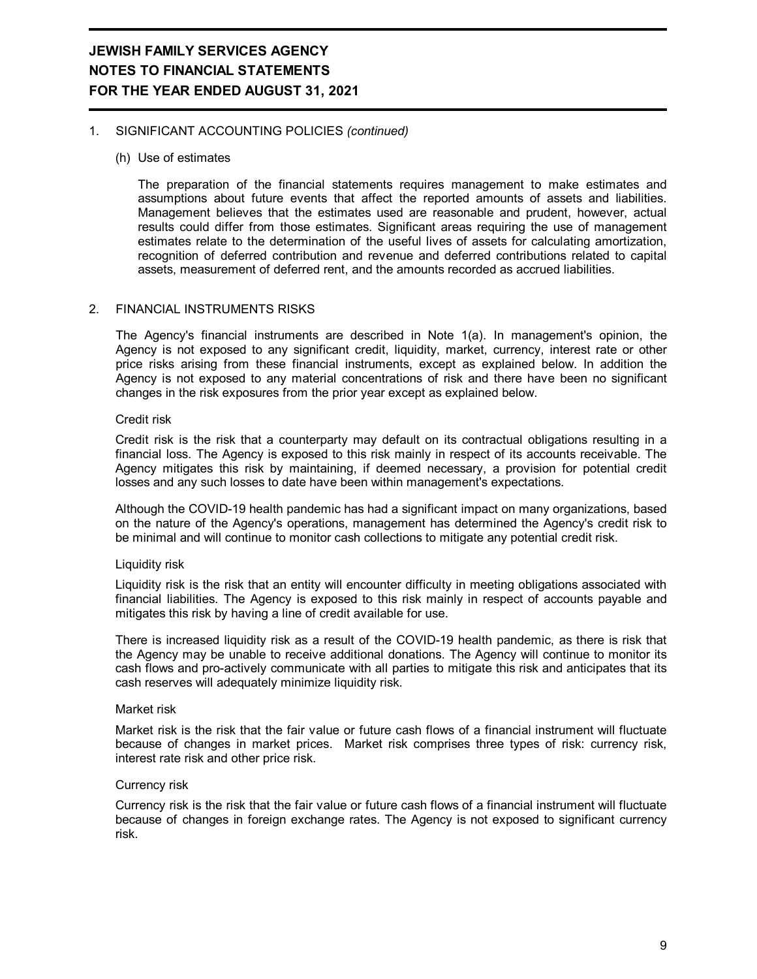#### 1. SIGNIFICANT ACCOUNTING POLICIES *(continued)*

#### (h) Use of estimates

The preparation of the financial statements requires management to make estimates and assumptions about future events that affect the reported amounts of assets and liabilities. Management believes that the estimates used are reasonable and prudent, however, actual results could differ from those estimates. Significant areas requiring the use of management estimates relate to the determination of the useful lives of assets for calculating amortization, recognition of deferred contribution and revenue and deferred contributions related to capital assets, measurement of deferred rent, and the amounts recorded as accrued liabilities.

#### 2. FINANCIAL INSTRUMENTS RISKS

The Agency's financial instruments are described in Note 1(a). In management's opinion, the Agency is not exposed to any significant credit, liquidity, market, currency, interest rate or other price risks arising from these financial instruments, except as explained below. In addition the Agency is not exposed to any material concentrations of risk and there have been no significant changes in the risk exposures from the prior year except as explained below.

#### Credit risk

Credit risk is the risk that a counterparty may default on its contractual obligations resulting in a financial loss. The Agency is exposed to this risk mainly in respect of its accounts receivable. The Agency mitigates this risk by maintaining, if deemed necessary, a provision for potential credit losses and any such losses to date have been within management's expectations.

Although the COVID-19 health pandemic has had a significant impact on many organizations, based on the nature of the Agency's operations, management has determined the Agency's credit risk to be minimal and will continue to monitor cash collections to mitigate any potential credit risk.

#### Liquidity risk

Liquidity risk is the risk that an entity will encounter difficulty in meeting obligations associated with financial liabilities. The Agency is exposed to this risk mainly in respect of accounts payable and mitigates this risk by having a line of credit available for use.

There is increased liquidity risk as a result of the COVID-19 health pandemic, as there is risk that the Agency may be unable to receive additional donations. The Agency will continue to monitor its cash flows and pro-actively communicate with all parties to mitigate this risk and anticipates that its cash reserves will adequately minimize liquidity risk.

#### Market risk

Market risk is the risk that the fair value or future cash flows of a financial instrument will fluctuate because of changes in market prices. Market risk comprises three types of risk: currency risk, interest rate risk and other price risk.

#### Currency risk

Currency risk is the risk that the fair value or future cash flows of a financial instrument will fluctuate because of changes in foreign exchange rates. The Agency is not exposed to significant currency risk.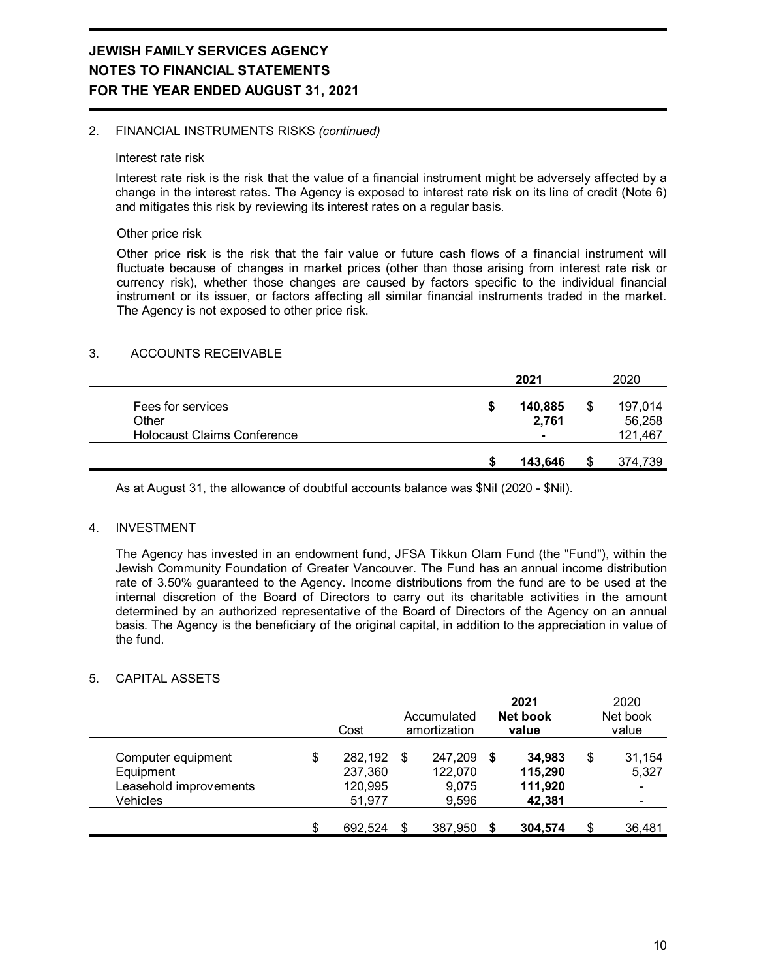#### 2. FINANCIAL INSTRUMENTS RISKS *(continued)*

#### Interest rate risk

Interest rate risk is the risk that the value of a financial instrument might be adversely affected by a change in the interest rates. The Agency is exposed to interest rate risk on its line of credit (Note 6) and mitigates this risk by reviewing its interest rates on a regular basis.

#### Other price risk

Other price risk is the risk that the fair value or future cash flows of a financial instrument will fluctuate because of changes in market prices (other than those arising from interest rate risk or currency risk), whether those changes are caused by factors specific to the individual financial instrument or its issuer, or factors affecting all similar financial instruments traded in the market. The Agency is not exposed to other price risk.

#### 3. ACCOUNTS RECEIVABLE

|                                                                  |   | 2021             | 2020                         |
|------------------------------------------------------------------|---|------------------|------------------------------|
| Fees for services<br>Other<br><b>Holocaust Claims Conference</b> | S | 140,885<br>2,761 | 197,014<br>56,258<br>121,467 |
|                                                                  |   | 143,646          | 374,739                      |

As at August 31, the allowance of doubtful accounts balance was \$Nil (2020 - \$Nil).

#### 4. INVESTMENT

The Agency has invested in an endowment fund, JFSA Tikkun Olam Fund (the "Fund"), within the Jewish Community Foundation of Greater Vancouver. The Fund has an annual income distribution rate of 3.50% guaranteed to the Agency. Income distributions from the fund are to be used at the internal discretion of the Board of Directors to carry out its charitable activities in the amount determined by an authorized representative of the Board of Directors of the Agency on an annual basis. The Agency is the beneficiary of the original capital, in addition to the appreciation in value of the fund.

#### 5. CAPITAL ASSETS

|                                                                       | Cost                                          |   | Accumulated<br>amortization          |    | 2021<br>Net book<br>value              | 2020<br>Net book<br>value                             |
|-----------------------------------------------------------------------|-----------------------------------------------|---|--------------------------------------|----|----------------------------------------|-------------------------------------------------------|
| Computer equipment<br>Equipment<br>Leasehold improvements<br>Vehicles | \$<br>282,192<br>237,360<br>120,995<br>51,977 | S | 247,209<br>122,070<br>9,075<br>9,596 | S. | 34.983<br>115,290<br>111,920<br>42,381 | \$<br>31,154<br>5,327<br>$\qquad \qquad \blacksquare$ |
|                                                                       | \$<br>692,524                                 |   | 387,950                              | S  | 304,574                                | \$<br>36,481                                          |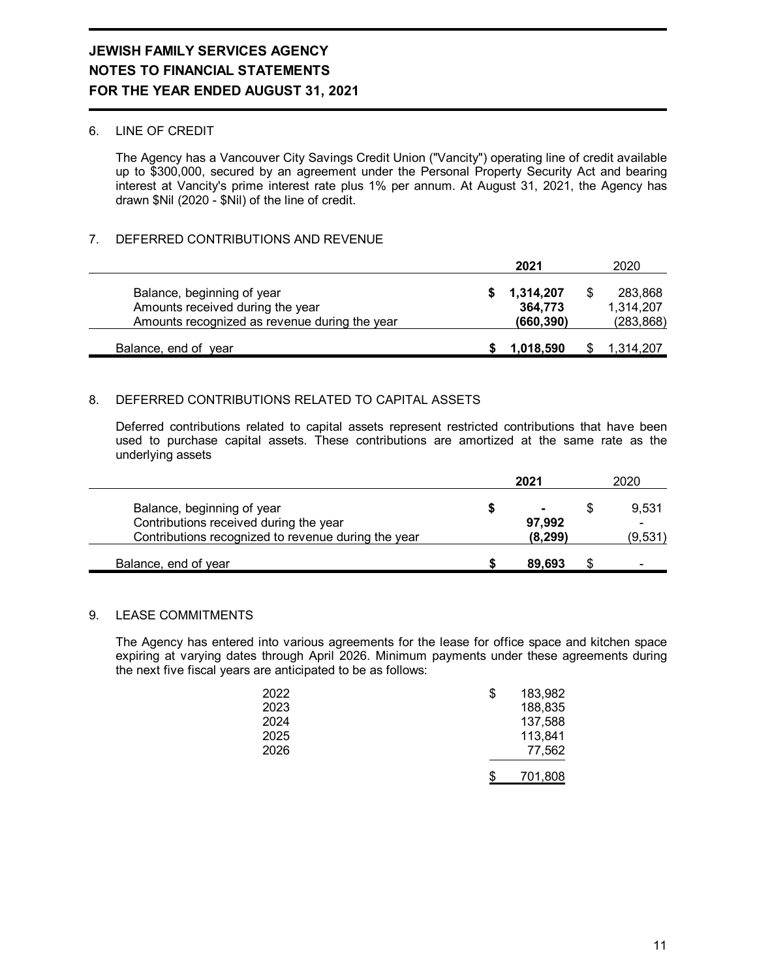#### 6. LINE OF CREDIT

The Agency has a Vancouver City Savings Credit Union ("Vancity") operating line of credit available up to \$300,000, secured by an agreement under the Personal Property Security Act and bearing interest at Vancity's prime interest rate plus 1% per annum. At August 31, 2021, the Agency has drawn \$Nil (2020 - \$Nil) of the line of credit.

#### 7. DEFERRED CONTRIBUTIONS AND REVENUE

|                                                                                                                 | 2021                               | 2020                               |
|-----------------------------------------------------------------------------------------------------------------|------------------------------------|------------------------------------|
| Balance, beginning of year<br>Amounts received during the year<br>Amounts recognized as revenue during the year | 1,314,207<br>364.773<br>(660, 390) | 283,868<br>1,314,207<br>(283, 868) |
| Balance, end of year                                                                                            | 1,018,590                          | 1,314,207                          |

#### 8. DEFERRED CONTRIBUTIONS RELATED TO CAPITAL ASSETS

Deferred contributions related to capital assets represent restricted contributions that have been used to purchase capital assets. These contributions are amortized at the same rate as the underlying assets

|                                                                                                                             | 2021                    | 2020                  |
|-----------------------------------------------------------------------------------------------------------------------------|-------------------------|-----------------------|
| Balance, beginning of year<br>Contributions received during the year<br>Contributions recognized to revenue during the year | ٠<br>97,992<br>(8, 299) | 9,531<br>-<br>(9,531) |
| Balance, end of year                                                                                                        | 89.693                  |                       |

#### 9. LEASE COMMITMENTS

The Agency has entered into various agreements for the lease for office space and kitchen space expiring at varying dates through April 2026. Minimum payments under these agreements during the next five fiscal years are anticipated to be as follows:

| 2022 | S | 183,982 |
|------|---|---------|
| 2023 |   | 188,835 |
| 2024 |   | 137,588 |
| 2025 |   | 113,841 |
| 2026 |   | 77,562  |
|      |   | 701,808 |